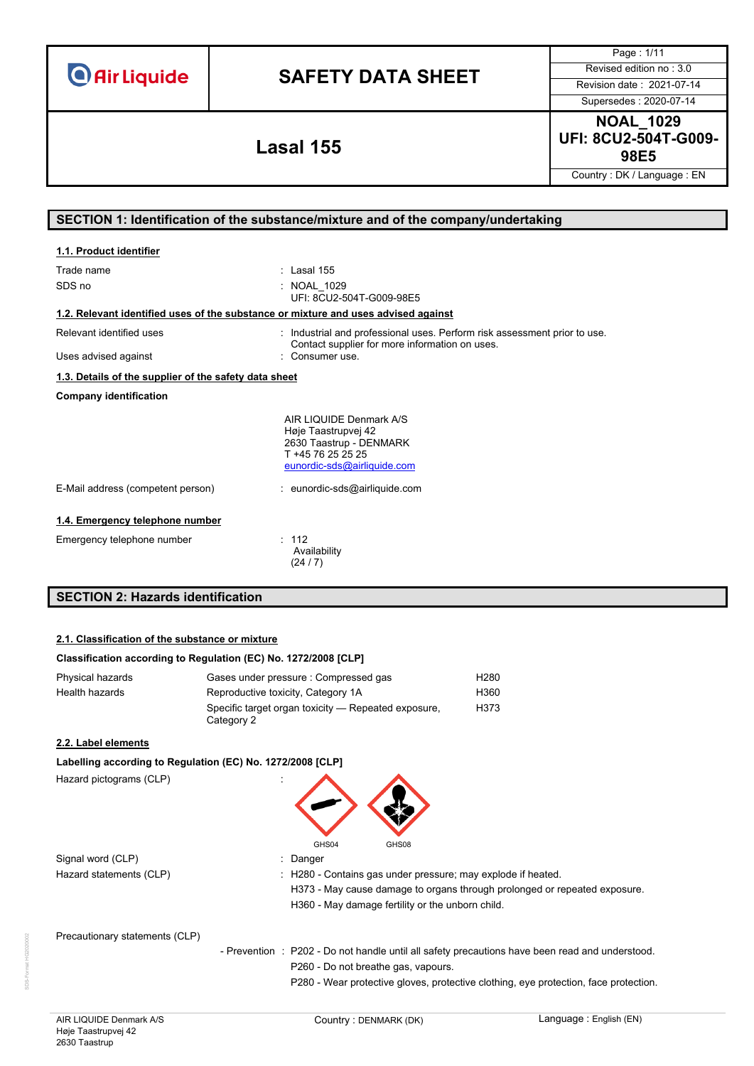| <b>O</b> Air Liquide |  |  |  |
|----------------------|--|--|--|
|                      |  |  |  |

Page : 1/11

Supersedes : 2020-07-14

**NOAL\_1029 UFI: 8CU2-504T-G009- 98E5 Lasal 155**

Country : DK / Language : EN

# **SECTION 1: Identification of the substance/mixture and of the company/undertaking**

| 1.1. Product identifier                                                            |                                                                                                                                                |
|------------------------------------------------------------------------------------|------------------------------------------------------------------------------------------------------------------------------------------------|
| Trade name<br>SDS no                                                               | : Lasal $155$<br>: NOAL 1029<br>UFI: 8CU2-504T-G009-98E5                                                                                       |
| 1.2. Relevant identified uses of the substance or mixture and uses advised against |                                                                                                                                                |
| Relevant identified uses<br>Uses advised against                                   | : Industrial and professional uses. Perform risk assessment prior to use.<br>Contact supplier for more information on uses.<br>: Consumer use. |
| 1.3. Details of the supplier of the safety data sheet                              |                                                                                                                                                |
| <b>Company identification</b>                                                      |                                                                                                                                                |
|                                                                                    | AIR LIQUIDE Denmark A/S<br>Høje Taastrupvej 42<br>2630 Taastrup - DENMARK<br>T +45 76 25 25 25<br>eunordic-sds@airliquide.com                  |
| E-Mail address (competent person)                                                  | : eunordic-sds@airliquide.com                                                                                                                  |
| 1.4. Emergency telephone number                                                    |                                                                                                                                                |
| Emergency telephone number                                                         | : 112<br>Availability<br>(24/7)                                                                                                                |
| <b>SECTION 2: Hazards identification</b>                                           |                                                                                                                                                |

### **2.1. Classification of the substance or mixture**

## **Classification according to Regulation (EC) No. 1272/2008 [CLP]**

| Physical hazards | Gases under pressure : Compressed gas                             | H280 |
|------------------|-------------------------------------------------------------------|------|
| Health hazards   | Reproductive toxicity, Category 1A                                | H360 |
|                  | Specific target organ toxicity — Repeated exposure,<br>Category 2 | H373 |

## **2.2. Label elements**

## **Labelling according to Regulation (EC) No. 1272/2008 [CLP]**

Hazard pictograms (CLP)



Signal word (CLP) **in the set of the Signal word** (CLP) **in the Signal word** (CLP) Hazard statements (CLP)

| : H280 - Contains gas under pressure; may explode if heated.              |
|---------------------------------------------------------------------------|
| H373 - May cause damage to organs through prolonged or repeated exposure. |
| H360 - May damage fertility or the unborn child.                          |

Precautionary statements (CLP)

- Prevention : P202 - Do not handle until all safety precautions have been read and understood. P260 - Do not breathe gas, vapours.

P280 - Wear protective gloves, protective clothing, eye protection, face protection.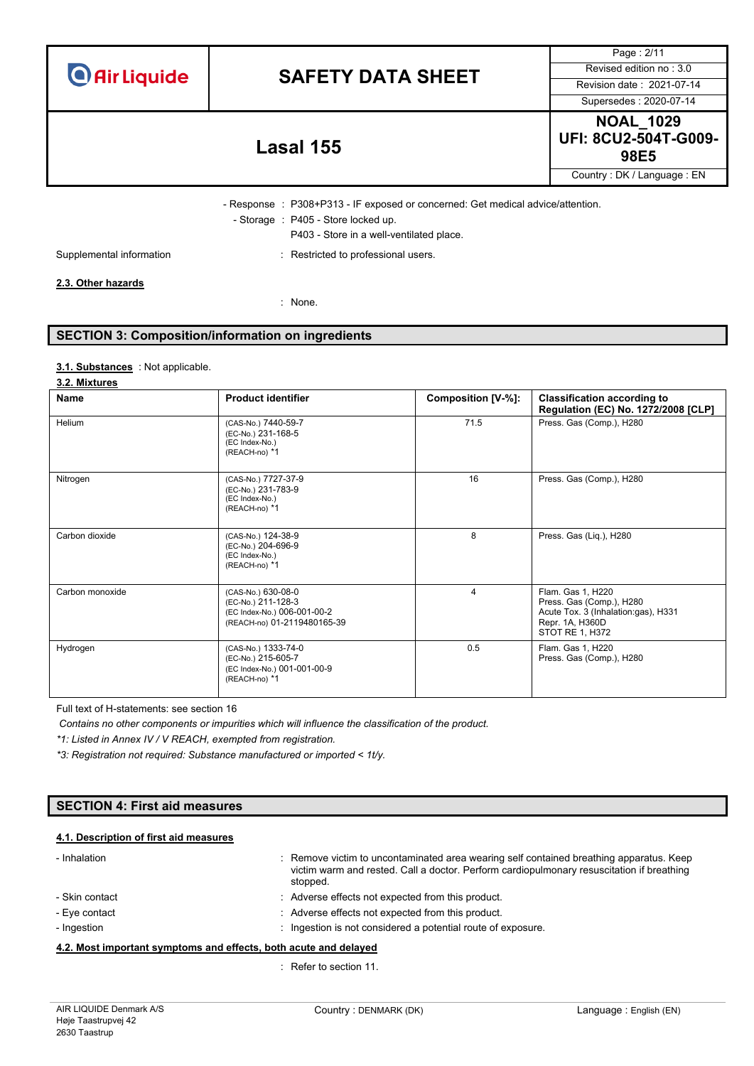| <b>O</b> Air Liquide |  |  |
|----------------------|--|--|
|                      |  |  |

Supersedes : 2020-07-14

Page : 2/11

**NOAL\_1029 UFI: 8CU2-504T-G009- 98E5 Lasal 155**

Country : DK / Language : EN

- Response : P308+P313 - IF exposed or concerned: Get medical advice/attention. - Storage : P405 - Store locked up.

P403 - Store in a well-ventilated place.

Supplemental information **interest in the CO** is restricted to professional users.

## **2.3. Other hazards**

: None.

# **SECTION 3: Composition/information on ingredients**

### : Not applicable. **3.1. Substances**

### **3.2. Mixtures**

| <b>Name</b>     | <b>Product identifier</b>                                                                              | Composition [V-%]: | <b>Classification according to</b><br>Regulation (EC) No. 1272/2008 [CLP]                                                  |
|-----------------|--------------------------------------------------------------------------------------------------------|--------------------|----------------------------------------------------------------------------------------------------------------------------|
| Helium          | (CAS-No.) 7440-59-7<br>(EC-No.) 231-168-5<br>(EC Index-No.)<br>(REACH-no) *1                           | 71.5               | Press. Gas (Comp.), H280                                                                                                   |
| Nitrogen        | (CAS-No.) 7727-37-9<br>(EC-No.) 231-783-9<br>(EC Index-No.)<br>(REACH-no) *1                           | 16                 | Press. Gas (Comp.), H280                                                                                                   |
| Carbon dioxide  | (CAS-No.) 124-38-9<br>(EC-No.) 204-696-9<br>(EC Index-No.)<br>(REACH-no) *1                            | 8                  | Press. Gas (Liq.), H280                                                                                                    |
| Carbon monoxide | (CAS-No.) 630-08-0<br>(EC-No.) 211-128-3<br>(EC Index-No.) 006-001-00-2<br>(REACH-no) 01-2119480165-39 | 4                  | Flam. Gas 1, H220<br>Press. Gas (Comp.), H280<br>Acute Tox. 3 (Inhalation:gas), H331<br>Repr. 1A, H360D<br>STOT RE 1, H372 |
| Hydrogen        | (CAS-No.) 1333-74-0<br>(EC-No.) 215-605-7<br>(EC Index-No.) 001-001-00-9<br>(REACH-no) *1              | 0.5                | Flam. Gas 1, H220<br>Press. Gas (Comp.), H280                                                                              |

Full text of H-statements: see section 16

*Contains no other components or impurities which will influence the classification of the product.*

*\*1: Listed in Annex IV / V REACH, exempted from registration.*

*\*3: Registration not required: Substance manufactured or imported < 1t/y.*

### **SECTION 4: First aid measures**

## **4.1. Description of first aid measures**

| - Inhalation   | : Remove victim to uncontaminated area wearing self contained breathing apparatus. Keep<br>victim warm and rested. Call a doctor. Perform cardiopulmonary resuscitation if breathing<br>stopped. |
|----------------|--------------------------------------------------------------------------------------------------------------------------------------------------------------------------------------------------|
| - Skin contact | : Adverse effects not expected from this product.                                                                                                                                                |
| - Eye contact  | : Adverse effects not expected from this product.                                                                                                                                                |
| - Ingestion    | Ingestion is not considered a potential route of exposure.                                                                                                                                       |

### **4.2. Most important symptoms and effects, both acute and delayed**

: Refer to section 11.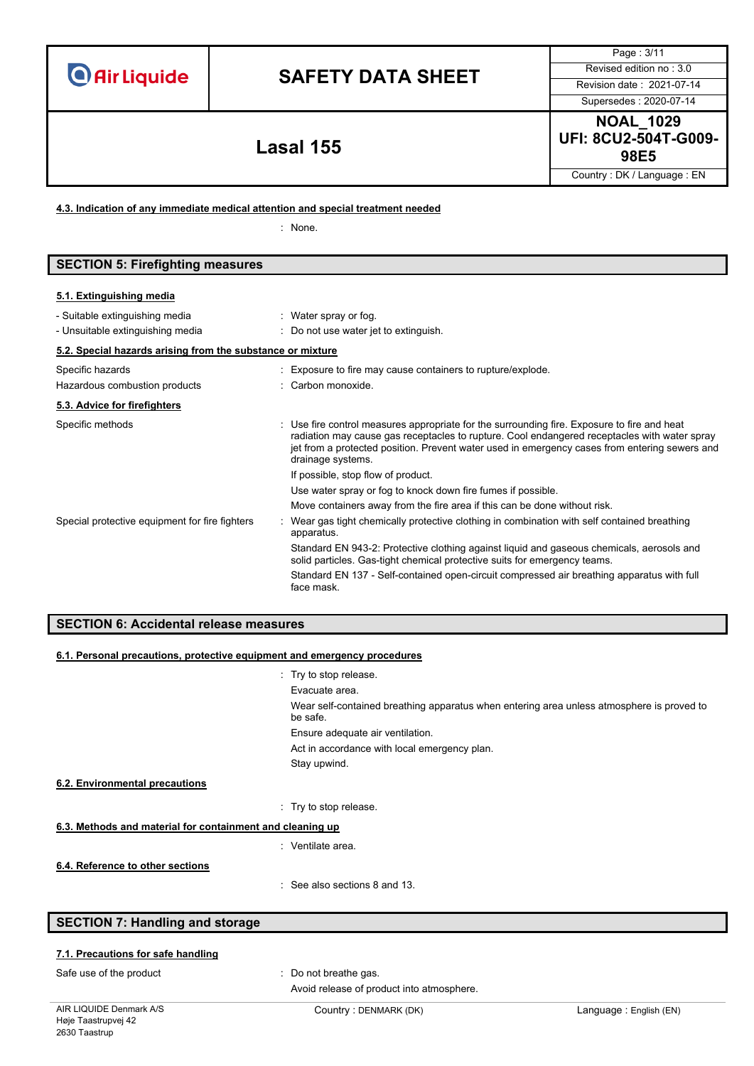# **SAFETY DATA SHEET** Revised edition no : 3.0

Supersedes : 2020-07-14

Page : 3/11

**NOAL\_1029 UFI: 8CU2-504T-G009- 98E5 Lasal 155**

Country : DK / Language : EN

**4.3. Indication of any immediate medical attention and special treatment needed**

: None.

# **SECTION 5: Firefighting measures**

### **5.1. Extinguishing media**

| - Suitable extinguishing media                             | : Water spray or fog.                                                                                                                                                                                                                                                                                             |
|------------------------------------------------------------|-------------------------------------------------------------------------------------------------------------------------------------------------------------------------------------------------------------------------------------------------------------------------------------------------------------------|
| - Unsuitable extinguishing media                           | $\therefore$ Do not use water jet to extinguish.                                                                                                                                                                                                                                                                  |
| 5.2. Special hazards arising from the substance or mixture |                                                                                                                                                                                                                                                                                                                   |
| Specific hazards                                           | : Exposure to fire may cause containers to rupture/explode.                                                                                                                                                                                                                                                       |
| Hazardous combustion products                              | : Carbon monoxide.                                                                                                                                                                                                                                                                                                |
| 5.3. Advice for firefighters                               |                                                                                                                                                                                                                                                                                                                   |
| Specific methods                                           | : Use fire control measures appropriate for the surrounding fire. Exposure to fire and heat<br>radiation may cause gas receptacles to rupture. Cool endangered receptacles with water spray<br>jet from a protected position. Prevent water used in emergency cases from entering sewers and<br>drainage systems. |
|                                                            | If possible, stop flow of product.                                                                                                                                                                                                                                                                                |
|                                                            | Use water spray or fog to knock down fire fumes if possible.                                                                                                                                                                                                                                                      |
|                                                            | Move containers away from the fire area if this can be done without risk.                                                                                                                                                                                                                                         |
| Special protective equipment for fire fighters             | Wear gas tight chemically protective clothing in combination with self contained breathing<br>apparatus.                                                                                                                                                                                                          |
|                                                            | Standard EN 943-2: Protective clothing against liquid and gaseous chemicals, aerosols and<br>solid particles. Gas-tight chemical protective suits for emergency teams.                                                                                                                                            |
|                                                            | Standard EN 137 - Self-contained open-circuit compressed air breathing apparatus with full<br>face mask.                                                                                                                                                                                                          |

## **SECTION 6: Accidental release measures**

| 6.1. Personal precautions, protective equipment and emergency procedures |                                                                                                       |  |  |  |
|--------------------------------------------------------------------------|-------------------------------------------------------------------------------------------------------|--|--|--|
|                                                                          | : Try to stop release.                                                                                |  |  |  |
|                                                                          | Evacuate area.                                                                                        |  |  |  |
|                                                                          | Wear self-contained breathing apparatus when entering area unless atmosphere is proved to<br>be safe. |  |  |  |
|                                                                          | Ensure adequate air ventilation.                                                                      |  |  |  |
|                                                                          | Act in accordance with local emergency plan.                                                          |  |  |  |
|                                                                          | Stay upwind.                                                                                          |  |  |  |
| 6.2. Environmental precautions                                           |                                                                                                       |  |  |  |
|                                                                          | : Try to stop release.                                                                                |  |  |  |
| 6.3. Methods and material for containment and cleaning up                |                                                                                                       |  |  |  |
|                                                                          | : Ventilate area.                                                                                     |  |  |  |
| 6.4. Reference to other sections                                         |                                                                                                       |  |  |  |
|                                                                          | $\therefore$ See also sections 8 and 13.                                                              |  |  |  |

# **SECTION 7: Handling and storage**

## **7.1. Precautions for safe handling**

Safe use of the product : Do not breathe gas. Avoid release of product into atmosphere.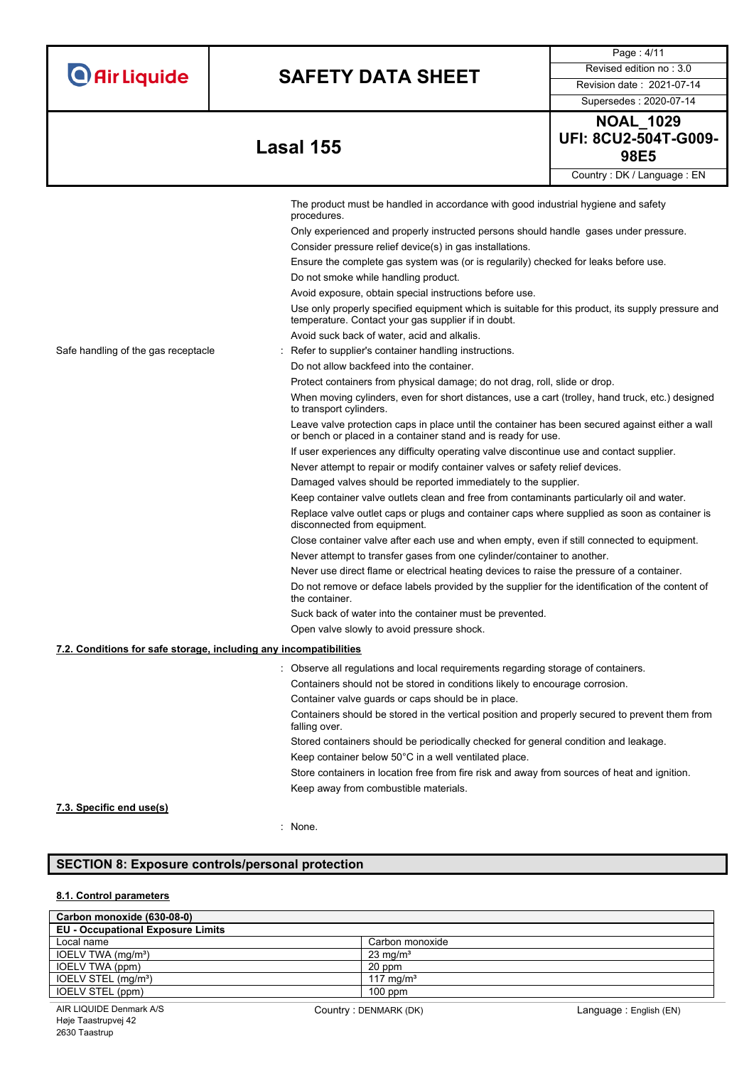|  |  | <b>O</b> Air Liquide |
|--|--|----------------------|
|  |  |                      |

Supersedes : 2020-07-14

Page : 4/11

**98E5 Lasal 155**

| <b>NOAL 1029</b>            |  |  |  |
|-----------------------------|--|--|--|
| <b>UFI: 8CU2-504T-G009-</b> |  |  |  |
| 98E5                        |  |  |  |
| Country: DK / Language: EN  |  |  |  |

|                                                                   | The product must be handled in accordance with good industrial hygiene and safety<br>procedures.                                                                 |  |  |  |
|-------------------------------------------------------------------|------------------------------------------------------------------------------------------------------------------------------------------------------------------|--|--|--|
|                                                                   | Only experienced and properly instructed persons should handle gases under pressure.                                                                             |  |  |  |
|                                                                   | Consider pressure relief device(s) in gas installations.                                                                                                         |  |  |  |
|                                                                   | Ensure the complete gas system was (or is regularily) checked for leaks before use.                                                                              |  |  |  |
|                                                                   | Do not smoke while handling product.                                                                                                                             |  |  |  |
|                                                                   | Avoid exposure, obtain special instructions before use.                                                                                                          |  |  |  |
|                                                                   | Use only properly specified equipment which is suitable for this product, its supply pressure and<br>temperature. Contact your gas supplier if in doubt.         |  |  |  |
|                                                                   | Avoid suck back of water, acid and alkalis.                                                                                                                      |  |  |  |
| Safe handling of the gas receptacle                               | Refer to supplier's container handling instructions.                                                                                                             |  |  |  |
|                                                                   | Do not allow backfeed into the container.                                                                                                                        |  |  |  |
|                                                                   | Protect containers from physical damage; do not drag, roll, slide or drop.                                                                                       |  |  |  |
|                                                                   | When moving cylinders, even for short distances, use a cart (trolley, hand truck, etc.) designed<br>to transport cylinders.                                      |  |  |  |
|                                                                   | Leave valve protection caps in place until the container has been secured against either a wall<br>or bench or placed in a container stand and is ready for use. |  |  |  |
|                                                                   | If user experiences any difficulty operating valve discontinue use and contact supplier.                                                                         |  |  |  |
|                                                                   | Never attempt to repair or modify container valves or safety relief devices.                                                                                     |  |  |  |
|                                                                   | Damaged valves should be reported immediately to the supplier.                                                                                                   |  |  |  |
|                                                                   | Keep container valve outlets clean and free from contaminants particularly oil and water.                                                                        |  |  |  |
|                                                                   | Replace valve outlet caps or plugs and container caps where supplied as soon as container is<br>disconnected from equipment.                                     |  |  |  |
|                                                                   | Close container valve after each use and when empty, even if still connected to equipment.                                                                       |  |  |  |
|                                                                   | Never attempt to transfer gases from one cylinder/container to another.                                                                                          |  |  |  |
|                                                                   | Never use direct flame or electrical heating devices to raise the pressure of a container.                                                                       |  |  |  |
|                                                                   | Do not remove or deface labels provided by the supplier for the identification of the content of<br>the container.                                               |  |  |  |
|                                                                   | Suck back of water into the container must be prevented.                                                                                                         |  |  |  |
|                                                                   | Open valve slowly to avoid pressure shock.                                                                                                                       |  |  |  |
| 7.2. Conditions for safe storage, including any incompatibilities |                                                                                                                                                                  |  |  |  |
|                                                                   | Observe all regulations and local requirements regarding storage of containers.                                                                                  |  |  |  |
|                                                                   | Containers should not be stored in conditions likely to encourage corrosion.                                                                                     |  |  |  |
|                                                                   | Container valve guards or caps should be in place.                                                                                                               |  |  |  |
|                                                                   | Containers should be stored in the vertical position and properly secured to prevent them from<br>falling over.                                                  |  |  |  |
|                                                                   | Stored containers should be periodically checked for general condition and leakage.                                                                              |  |  |  |
|                                                                   | Keep container below 50°C in a well ventilated place.                                                                                                            |  |  |  |
|                                                                   | Store containers in location free from fire risk and away from sources of heat and ignition.                                                                     |  |  |  |
|                                                                   | Keep away from combustible materials.                                                                                                                            |  |  |  |

# **7.3. Specific end use(s)**

: None.

# **SECTION 8: Exposure controls/personal protection**

## **8.1. Control parameters**

| Carbon monoxide (630-08-0)               |                       |
|------------------------------------------|-----------------------|
| <b>EU - Occupational Exposure Limits</b> |                       |
| Local name                               | Carbon monoxide       |
| IOELV TWA (mg/m <sup>3</sup> )           | $23 \text{ mg/m}^3$   |
| IOELV TWA (ppm)                          | 20 ppm                |
| IOELV STEL (mg/m <sup>3</sup> )          | 117 mg/m <sup>3</sup> |
| IOELV STEL (ppm)                         | $100$ ppm             |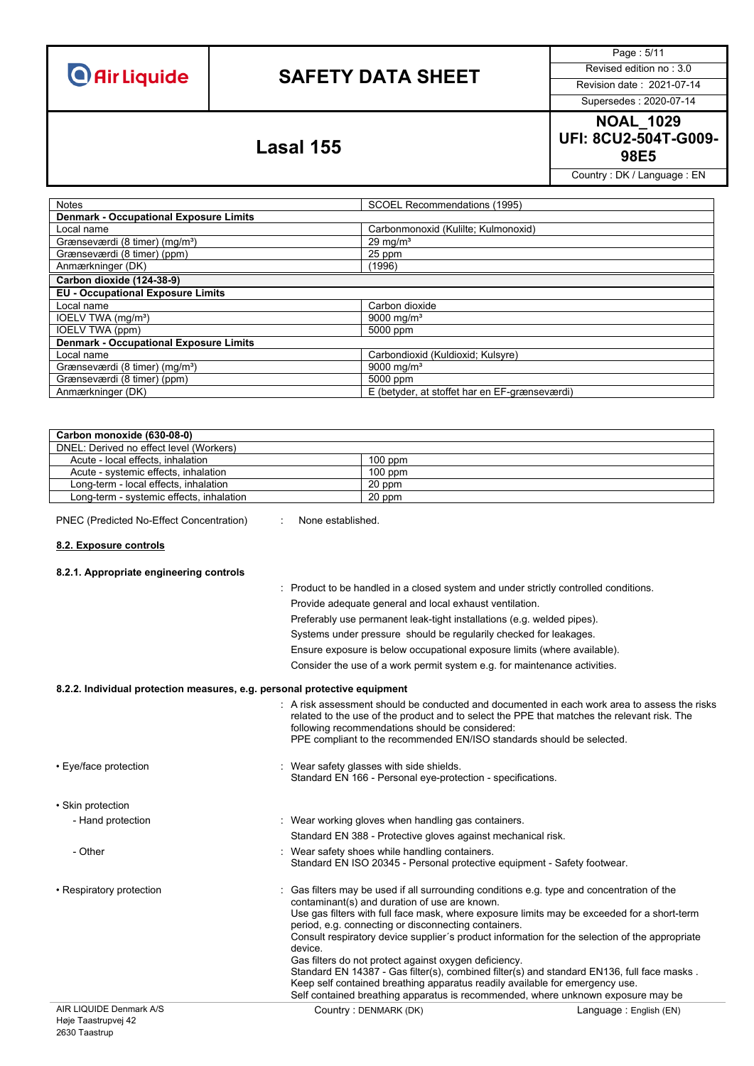# **SAFETY DATA SHEET** Revised edition no : 3.0

Page : 5/11

Supersedes : 2020-07-14

**NOAL\_1029 UFI: 8CU2-504T-G009- 98E5 Lasal 155**

Country : DK / Language : EN

| <b>Notes</b>                                  | SCOEL Recommendations (1995)                  |  |
|-----------------------------------------------|-----------------------------------------------|--|
| <b>Denmark - Occupational Exposure Limits</b> |                                               |  |
| Local name                                    | Carbonmonoxid (Kulilte; Kulmonoxid)           |  |
| Grænseværdi (8 timer) (mg/m <sup>3</sup> )    | $29 \text{ mg/m}^3$                           |  |
| Grænseværdi (8 timer) (ppm)                   | 25 ppm                                        |  |
| Anmærkninger (DK)                             | (1996)                                        |  |
| Carbon dioxide (124-38-9)                     |                                               |  |
| <b>EU - Occupational Exposure Limits</b>      |                                               |  |
| Local name                                    | Carbon dioxide                                |  |
| IOELV TWA (mg/m <sup>3</sup> )                | 9000 mg/m <sup>3</sup>                        |  |
| <b>IOELV TWA (ppm)</b>                        | 5000 ppm                                      |  |
| <b>Denmark - Occupational Exposure Limits</b> |                                               |  |
| Local name                                    | Carbondioxid (Kuldioxid; Kulsyre)             |  |
| Grænseværdi (8 timer) (mg/m <sup>3</sup> )    | 9000 mg/m <sup>3</sup>                        |  |
| Grænseværdi (8 timer) (ppm)                   | 5000 ppm                                      |  |
| Anmærkninger (DK)                             | E (betyder, at stoffet har en EF-grænseværdi) |  |

| Carbon monoxide (630-08-0)               |           |
|------------------------------------------|-----------|
| DNEL: Derived no effect level (Workers)  |           |
| Acute - local effects, inhalation        | $100$ ppm |
| Acute - systemic effects, inhalation     | $100$ ppm |
| Long-term - local effects, inhalation    | 20 ppm    |
| Long-term - systemic effects, inhalation | 20 ppm    |

PNEC (Predicted No-Effect Concentration) : None established.

### **8.2. Exposure controls**

| 8.2.1. Appropriate engineering controls |                                                                                                                                                                                                                                                                                                                         |
|-----------------------------------------|-------------------------------------------------------------------------------------------------------------------------------------------------------------------------------------------------------------------------------------------------------------------------------------------------------------------------|
|                                         | : Product to be handled in a closed system and under strictly controlled conditions.                                                                                                                                                                                                                                    |
|                                         | Provide adequate general and local exhaust ventilation.                                                                                                                                                                                                                                                                 |
|                                         | Preferably use permanent leak-tight installations (e.g. welded pipes).                                                                                                                                                                                                                                                  |
|                                         | Systems under pressure should be regularily checked for leakages.                                                                                                                                                                                                                                                       |
|                                         | Ensure exposure is below occupational exposure limits (where available).                                                                                                                                                                                                                                                |
|                                         | Consider the use of a work permit system e.g. for maintenance activities.                                                                                                                                                                                                                                               |
|                                         | 8.2.2. Individual protection measures, e.g. personal protective equipment                                                                                                                                                                                                                                               |
|                                         | : A risk assessment should be conducted and documented in each work area to assess the risks<br>related to the use of the product and to select the PPE that matches the relevant risk. The<br>following recommendations should be considered:<br>PPE compliant to the recommended EN/ISO standards should be selected. |
| • Eye/face protection                   | : Wear safety glasses with side shields.<br>Standard EN 166 - Personal eye-protection - specifications.                                                                                                                                                                                                                 |
| • Skin protection                       |                                                                                                                                                                                                                                                                                                                         |
| - Hand protection                       | : Wear working gloves when handling gas containers.                                                                                                                                                                                                                                                                     |
|                                         | Standard EN 388 - Protective gloves against mechanical risk.                                                                                                                                                                                                                                                            |
| - Other                                 | Wear safety shoes while handling containers.<br>Standard EN ISO 20345 - Personal protective equipment - Safety footwear.                                                                                                                                                                                                |
| • Respiratory protection                | : Gas filters may be used if all surrounding conditions e.g. type and concentration of the<br>contaminant(s) and duration of use are known.                                                                                                                                                                             |
|                                         | Use gas filters with full face mask, where exposure limits may be exceeded for a short-term<br>period, e.g. connecting or disconnecting containers.                                                                                                                                                                     |
|                                         | Consult respiratory device supplier's product information for the selection of the appropriate<br>device.                                                                                                                                                                                                               |
|                                         | Gas filters do not protect against oxygen deficiency.                                                                                                                                                                                                                                                                   |
|                                         | Standard EN 14387 - Gas filter(s), combined filter(s) and standard EN136, full face masks.<br>Keep self contained breathing apparatus readily available for emergency use.                                                                                                                                              |
|                                         | Self contained breathing apparatus is recommended, where unknown exposure may be                                                                                                                                                                                                                                        |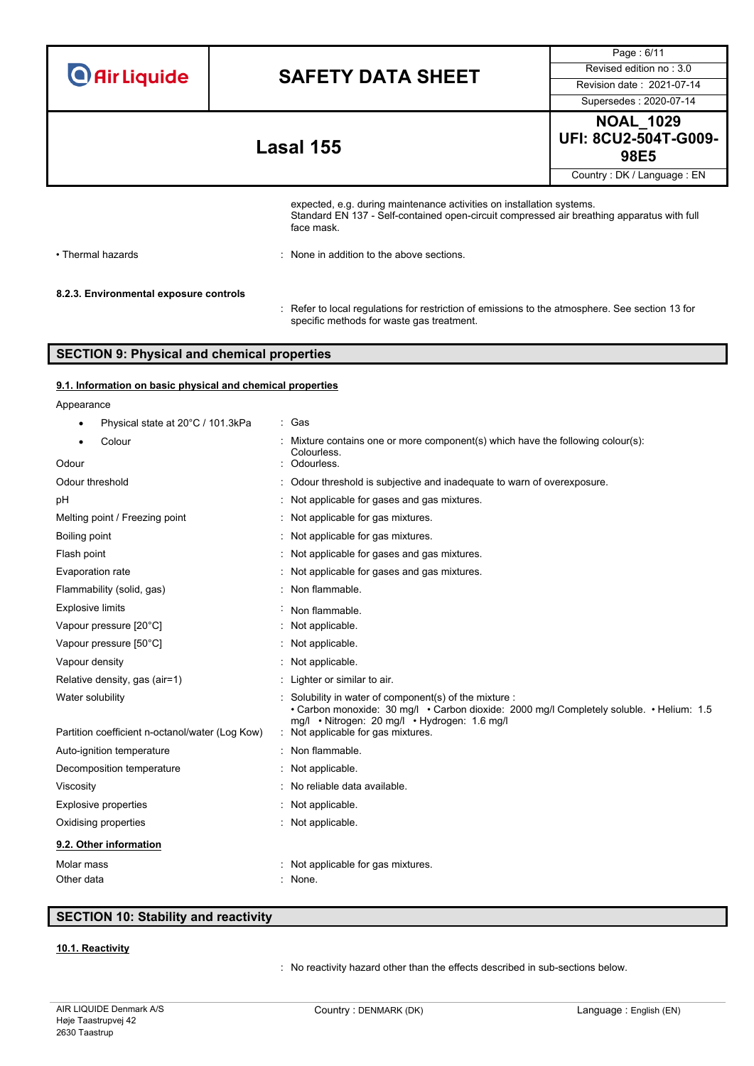| <b>O</b> Air Liquide |  |  |
|----------------------|--|--|
|                      |  |  |

Supersedes : 2020-07-14

Page : 6/11

**NOAL\_1029 UFI: 8CU2-504T-G009- 98E5 Lasal 155**

Country : DK / Language : EN

expected, e.g. during maintenance activities on installation systems. Standard EN 137 - Self-contained open-circuit compressed air breathing apparatus with full face mask.

• Thermal hazards **:** None in addition to the above sections.

### **8.2.3. Environmental exposure controls**

: Refer to local regulations for restriction of emissions to the atmosphere. See section 13 for specific methods for waste gas treatment.

# **SECTION 9: Physical and chemical properties**

### **9.1. Information on basic physical and chemical properties**

| Appearance                                      |                                                                                                                                                                                                                                       |
|-------------------------------------------------|---------------------------------------------------------------------------------------------------------------------------------------------------------------------------------------------------------------------------------------|
| Physical state at 20°C / 101.3kPa               | : Gas                                                                                                                                                                                                                                 |
| Colour<br>٠                                     | Mixture contains one or more component(s) which have the following colour(s):<br>Colourless.                                                                                                                                          |
| Odour                                           | Odourless.                                                                                                                                                                                                                            |
| Odour threshold                                 | Odour threshold is subjective and inadequate to warn of overexposure.                                                                                                                                                                 |
| рH                                              | Not applicable for gases and gas mixtures.                                                                                                                                                                                            |
| Melting point / Freezing point                  | Not applicable for gas mixtures.                                                                                                                                                                                                      |
| Boiling point                                   | Not applicable for gas mixtures.                                                                                                                                                                                                      |
| Flash point                                     | Not applicable for gases and gas mixtures.                                                                                                                                                                                            |
| Evaporation rate                                | Not applicable for gases and gas mixtures.                                                                                                                                                                                            |
| Flammability (solid, gas)                       | Non flammable.                                                                                                                                                                                                                        |
| <b>Explosive limits</b>                         | Non flammable.                                                                                                                                                                                                                        |
| Vapour pressure [20°C]                          | Not applicable.                                                                                                                                                                                                                       |
| Vapour pressure [50°C]                          | Not applicable.                                                                                                                                                                                                                       |
| Vapour density                                  | Not applicable.                                                                                                                                                                                                                       |
| Relative density, gas (air=1)                   | : Lighter or similar to air.                                                                                                                                                                                                          |
| Water solubility                                | Solubility in water of component(s) of the mixture :<br>• Carbon monoxide: 30 mg/l • Carbon dioxide: 2000 mg/l Completely soluble. • Helium: 1.5<br>mg/l • Nitrogen: 20 mg/l • Hydrogen: 1.6 mg/l<br>Not applicable for gas mixtures. |
| Partition coefficient n-octanol/water (Log Kow) | Non flammable.                                                                                                                                                                                                                        |
| Auto-ignition temperature                       |                                                                                                                                                                                                                                       |
| Decomposition temperature                       | Not applicable.                                                                                                                                                                                                                       |
| Viscosity                                       | No reliable data available.                                                                                                                                                                                                           |
| <b>Explosive properties</b>                     | Not applicable.                                                                                                                                                                                                                       |
| Oxidising properties                            | Not applicable.                                                                                                                                                                                                                       |
| 9.2. Other information                          |                                                                                                                                                                                                                                       |
| Molar mass                                      | Not applicable for gas mixtures.                                                                                                                                                                                                      |
| Other data                                      | : None.                                                                                                                                                                                                                               |

# **SECTION 10: Stability and reactivity**

## **10.1. Reactivity**

: No reactivity hazard other than the effects described in sub-sections below.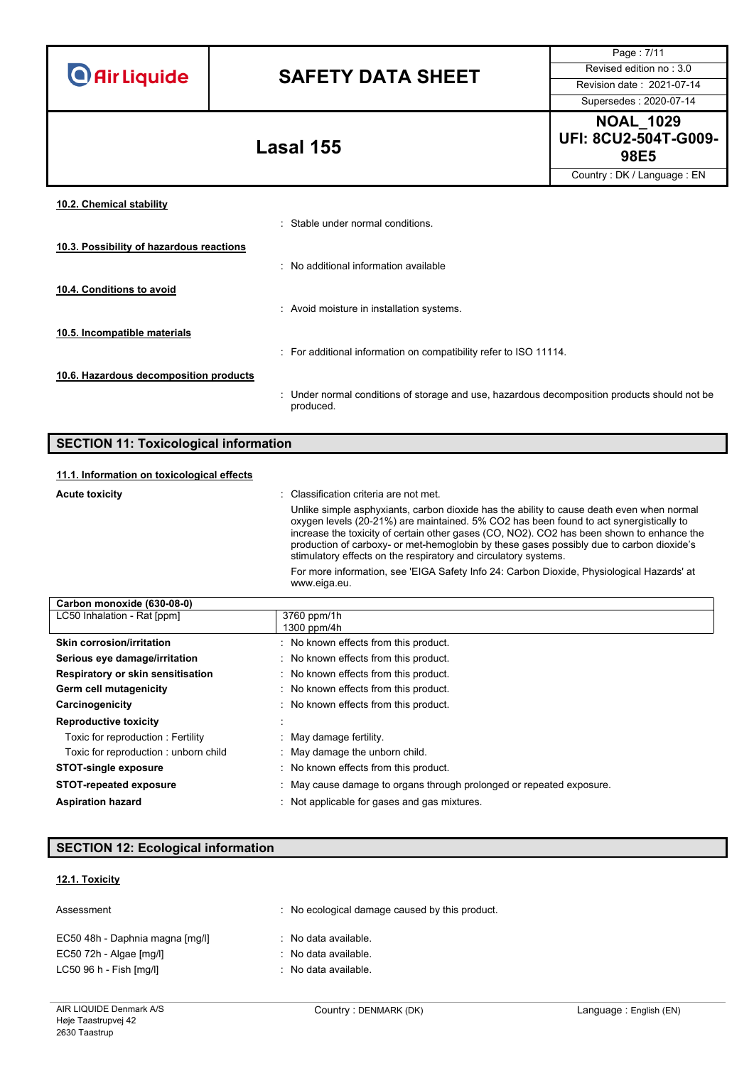# **SAFETY DATA SHEET** Revised edition no : 3.0

Supersedes : 2020-07-14

Page : 7/11

**NOAL\_1029 UFI: 8CU2-504T-G009- 98E5 Lasal 155**

Country : DK / Language : EN

| 10.2. Chemical stability                 |                                                                                                           |
|------------------------------------------|-----------------------------------------------------------------------------------------------------------|
|                                          | : Stable under normal conditions.                                                                         |
| 10.3. Possibility of hazardous reactions |                                                                                                           |
|                                          | : No additional information available                                                                     |
| 10.4. Conditions to avoid                |                                                                                                           |
|                                          | : Avoid moisture in installation systems.                                                                 |
| 10.5. Incompatible materials             |                                                                                                           |
|                                          | : For additional information on compatibility refer to ISO 11114.                                         |
| 10.6. Hazardous decomposition products   |                                                                                                           |
|                                          | : Under normal conditions of storage and use, hazardous decomposition products should not be<br>produced. |

# **SECTION 11: Toxicological information**

### **11.1. Information on toxicological effects**

| <b>Acute toxicity</b>      | : Classification criteria are not met.<br>Unlike simple asphyxiants, carbon dioxide has the ability to cause death even when normal<br>oxygen levels (20-21%) are maintained. 5% CO2 has been found to act synergistically to<br>increase the toxicity of certain other gases (CO, NO2). CO2 has been shown to enhance the<br>production of carboxy- or met-hemoglobin by these gases possibly due to carbon dioxide's<br>stimulatory effects on the respiratory and circulatory systems. |
|----------------------------|-------------------------------------------------------------------------------------------------------------------------------------------------------------------------------------------------------------------------------------------------------------------------------------------------------------------------------------------------------------------------------------------------------------------------------------------------------------------------------------------|
|                            | For more information, see 'EIGA Safety Info 24: Carbon Dioxide, Physiological Hazards' at<br>www.eiga.eu.                                                                                                                                                                                                                                                                                                                                                                                 |
| Carbon monovido (630.08.0) |                                                                                                                                                                                                                                                                                                                                                                                                                                                                                           |

| 3760 ppm/1h                                                          |
|----------------------------------------------------------------------|
| 1300 ppm/4h                                                          |
| : No known effects from this product.                                |
| : No known effects from this product.                                |
| : No known effects from this product.                                |
| : No known effects from this product.                                |
| : No known effects from this product.                                |
|                                                                      |
| May damage fertility.                                                |
| : May damage the unborn child.                                       |
| : No known effects from this product.                                |
| : May cause damage to organs through prolonged or repeated exposure. |
|                                                                      |
|                                                                      |

# **SECTION 12: Ecological information**

# **12.1. Toxicity**

| Assessment                      | : No ecological damage caused by this product. |
|---------------------------------|------------------------------------------------|
| EC50 48h - Daphnia magna [mg/l] | : No data available.                           |
| EC50 72h - Algae [mg/l]         | : No data available.                           |
| LC50 96 h - Fish [mg/l]         | : No data available.                           |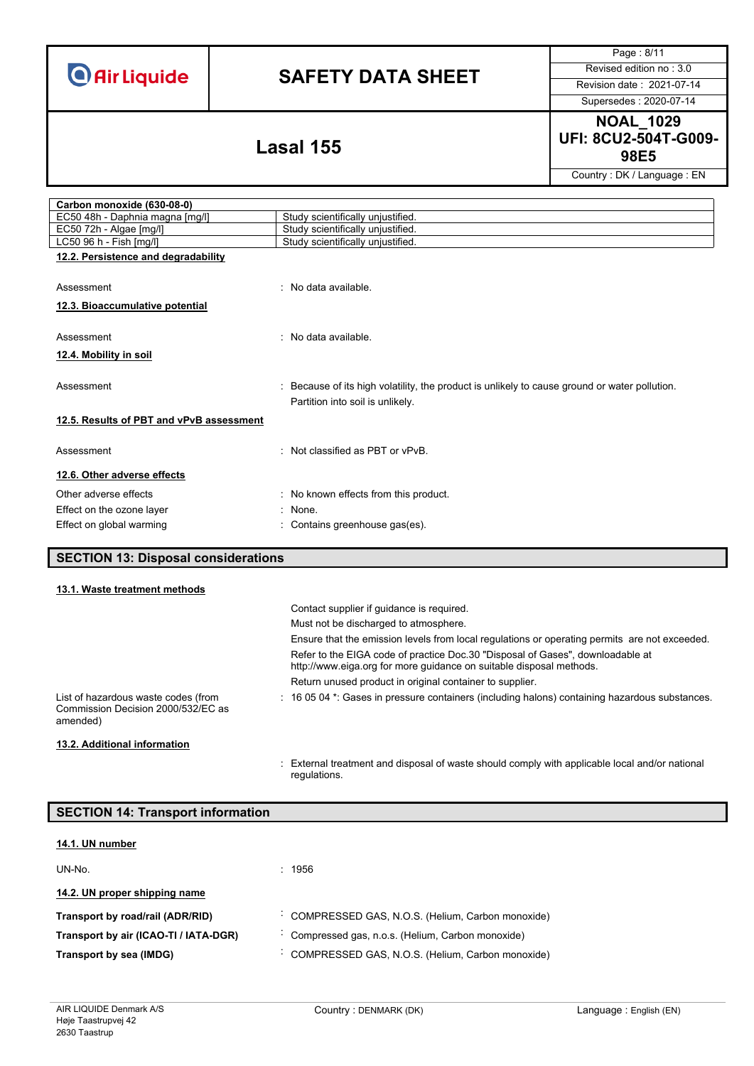# **SAFETY DATA SHEET** Revised edition no : 3.0

Page : 8/11

Supersedes : 2020-07-14

# **NOAL\_1029 UFI: 8CU2-504T-G009- 98E5 Lasal 155**

Country : DK / Language : EN

| Carbon monoxide (630-08-0)                 |                                                                                                                                   |  |
|--------------------------------------------|-----------------------------------------------------------------------------------------------------------------------------------|--|
| EC50 48h - Daphnia magna [mg/l]            | Study scientifically unjustified.                                                                                                 |  |
| EC50 72h - Algae [mg/l]                    | Study scientifically unjustified.                                                                                                 |  |
| LC50 96 h - Fish [mg/l]                    | Study scientifically unjustified.                                                                                                 |  |
| 12.2. Persistence and degradability        |                                                                                                                                   |  |
| Assessment                                 | : No data available.                                                                                                              |  |
| 12.3. Bioaccumulative potential            |                                                                                                                                   |  |
| Assessment                                 | : No data available.                                                                                                              |  |
| 12.4. Mobility in soil                     |                                                                                                                                   |  |
| Assessment                                 | : Because of its high volatility, the product is unlikely to cause ground or water pollution.<br>Partition into soil is unlikely. |  |
| 12.5. Results of PBT and vPvB assessment   |                                                                                                                                   |  |
| Assessment                                 | : Not classified as PBT or vPvB.                                                                                                  |  |
| 12.6. Other adverse effects                |                                                                                                                                   |  |
| Other adverse effects                      | : No known effects from this product.                                                                                             |  |
| Effect on the ozone layer                  | $:$ None.                                                                                                                         |  |
| Effect on global warming                   | : Contains greenhouse gas(es).                                                                                                    |  |
| <b>SECTION 13: Disposal considerations</b> |                                                                                                                                   |  |

## **13.1. Waste treatment methods**

ſ

|                                                                                       | Contact supplier if quidance is required.<br>Must not be discharged to atmosphere.                                                                    |
|---------------------------------------------------------------------------------------|-------------------------------------------------------------------------------------------------------------------------------------------------------|
|                                                                                       | Ensure that the emission levels from local regulations or operating permits are not exceeded.                                                         |
|                                                                                       | Refer to the EIGA code of practice Doc.30 "Disposal of Gases", downloadable at<br>http://www.eiga.org for more guidance on suitable disposal methods. |
|                                                                                       | Return unused product in original container to supplier.                                                                                              |
| List of hazardous waste codes (from<br>Commission Decision 2000/532/EC as<br>amended) | $\pm$ 16 05 04 $^{\star}$ . Gases in pressure containers (including halons) containing hazardous substances.                                          |
| 13.2. Additional information                                                          |                                                                                                                                                       |

: External treatment and disposal of waste should comply with applicable local and/or national regulations.

| <b>SECTION 14: Transport information</b> |                                                  |  |
|------------------------------------------|--------------------------------------------------|--|
| 14.1. UN number                          |                                                  |  |
|                                          |                                                  |  |
| UN-No.                                   | : 1956                                           |  |
| 14.2. UN proper shipping name            |                                                  |  |
| Transport by road/rail (ADR/RID)         | COMPRESSED GAS, N.O.S. (Helium, Carbon monoxide) |  |
| Transport by air (ICAO-TI / IATA-DGR)    | Compressed gas, n.o.s. (Helium, Carbon monoxide) |  |
| Transport by sea (IMDG)                  | COMPRESSED GAS, N.O.S. (Helium, Carbon monoxide) |  |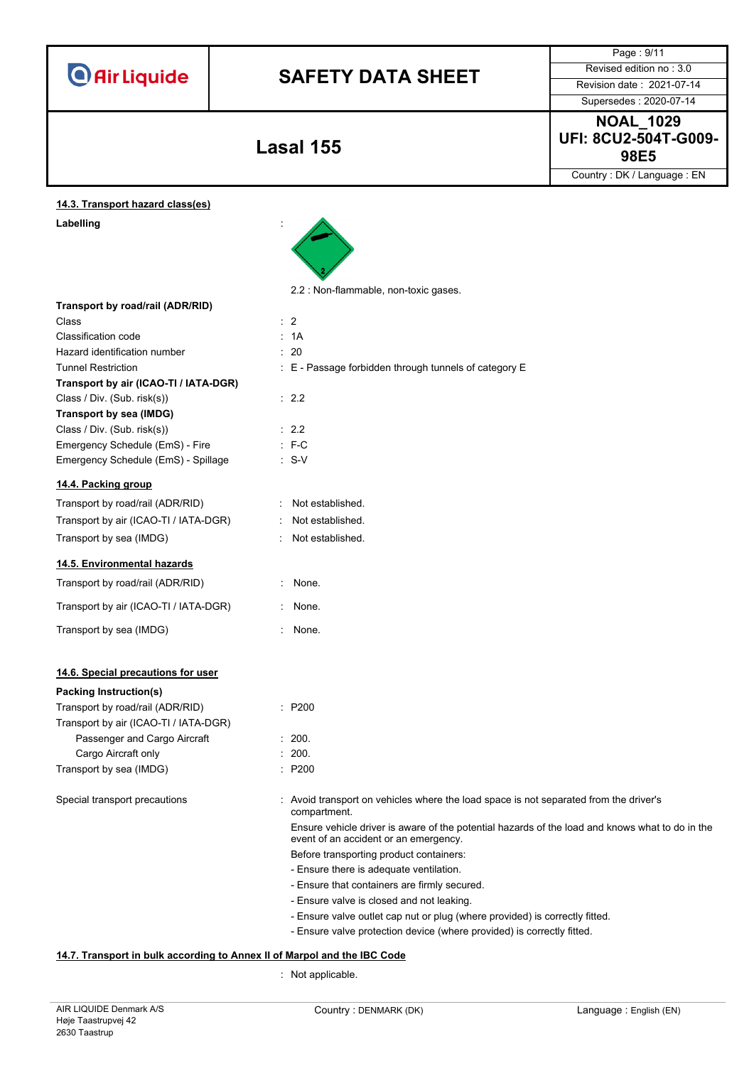|                                       |                                                                                                                                          | Page: 9/11                 |
|---------------------------------------|------------------------------------------------------------------------------------------------------------------------------------------|----------------------------|
|                                       |                                                                                                                                          | Revised edition no: 3.0    |
| <b>O</b> Air Liquide                  | <b>SAFETY DATA SHEET</b>                                                                                                                 |                            |
|                                       |                                                                                                                                          | Revision date: 2021-07-14  |
|                                       |                                                                                                                                          | Supersedes: 2020-07-14     |
|                                       |                                                                                                                                          | <b>NOAL 1029</b>           |
|                                       |                                                                                                                                          | UFI: 8CU2-504T-G009-       |
|                                       | Lasal 155                                                                                                                                | 98E5                       |
|                                       |                                                                                                                                          | Country: DK / Language: EN |
| 14.3. Transport hazard class(es)      |                                                                                                                                          |                            |
| Labelling                             |                                                                                                                                          |                            |
|                                       |                                                                                                                                          |                            |
|                                       |                                                                                                                                          |                            |
|                                       | 2.2 : Non-flammable, non-toxic gases.                                                                                                    |                            |
| Transport by road/rail (ADR/RID)      |                                                                                                                                          |                            |
| Class                                 | $\therefore$ 2                                                                                                                           |                            |
| Classification code                   | : 1A                                                                                                                                     |                            |
| Hazard identification number          | : 20                                                                                                                                     |                            |
| <b>Tunnel Restriction</b>             | : E - Passage forbidden through tunnels of category E                                                                                    |                            |
| Transport by air (ICAO-TI / IATA-DGR) |                                                                                                                                          |                            |
| Class / Div. (Sub. risk(s))           | : 2.2                                                                                                                                    |                            |
| Transport by sea (IMDG)               |                                                                                                                                          |                            |
| Class / Div. (Sub. risk(s))           | : 2.2                                                                                                                                    |                            |
| Emergency Schedule (EmS) - Fire       | $: F-C$                                                                                                                                  |                            |
| Emergency Schedule (EmS) - Spillage   | $: S-V$                                                                                                                                  |                            |
| 14.4. Packing group                   |                                                                                                                                          |                            |
| Transport by road/rail (ADR/RID)      | Not established.                                                                                                                         |                            |
| Transport by air (ICAO-TI / IATA-DGR) | Not established.                                                                                                                         |                            |
| Transport by sea (IMDG)               | Not established.                                                                                                                         |                            |
| 14.5. Environmental hazards           |                                                                                                                                          |                            |
| Transport by road/rail (ADR/RID)      | : None.                                                                                                                                  |                            |
|                                       |                                                                                                                                          |                            |
| Transport by air (ICAO-TI / IATA-DGR) | : None.                                                                                                                                  |                            |
| Transport by sea (IMDG)               | : None.                                                                                                                                  |                            |
| 14.6. Special precautions for user    |                                                                                                                                          |                            |
| <b>Packing Instruction(s)</b>         |                                                                                                                                          |                            |
| Transport by road/rail (ADR/RID)      | : P200                                                                                                                                   |                            |
| Transport by air (ICAO-TI / IATA-DGR) |                                                                                                                                          |                            |
| Passenger and Cargo Aircraft          | : 200.                                                                                                                                   |                            |
| Cargo Aircraft only                   | : 200.                                                                                                                                   |                            |
| Transport by sea (IMDG)               | : P200                                                                                                                                   |                            |
|                                       |                                                                                                                                          |                            |
| Special transport precautions         | : Avoid transport on vehicles where the load space is not separated from the driver's<br>compartment.                                    |                            |
|                                       | Ensure vehicle driver is aware of the potential hazards of the load and knows what to do in the<br>event of an accident or an emergency. |                            |
|                                       | Before transporting product containers:                                                                                                  |                            |
|                                       | - Ensure there is adequate ventilation.                                                                                                  |                            |
|                                       | - Ensure that containers are firmly secured.                                                                                             |                            |
|                                       | - Ensure valve is closed and not leaking.                                                                                                |                            |
|                                       | - Ensure valve outlet cap nut or plug (where provided) is correctly fitted.                                                              |                            |
|                                       | - Ensure valve protection device (where provided) is correctly fitted.                                                                   |                            |

# : Not applicable.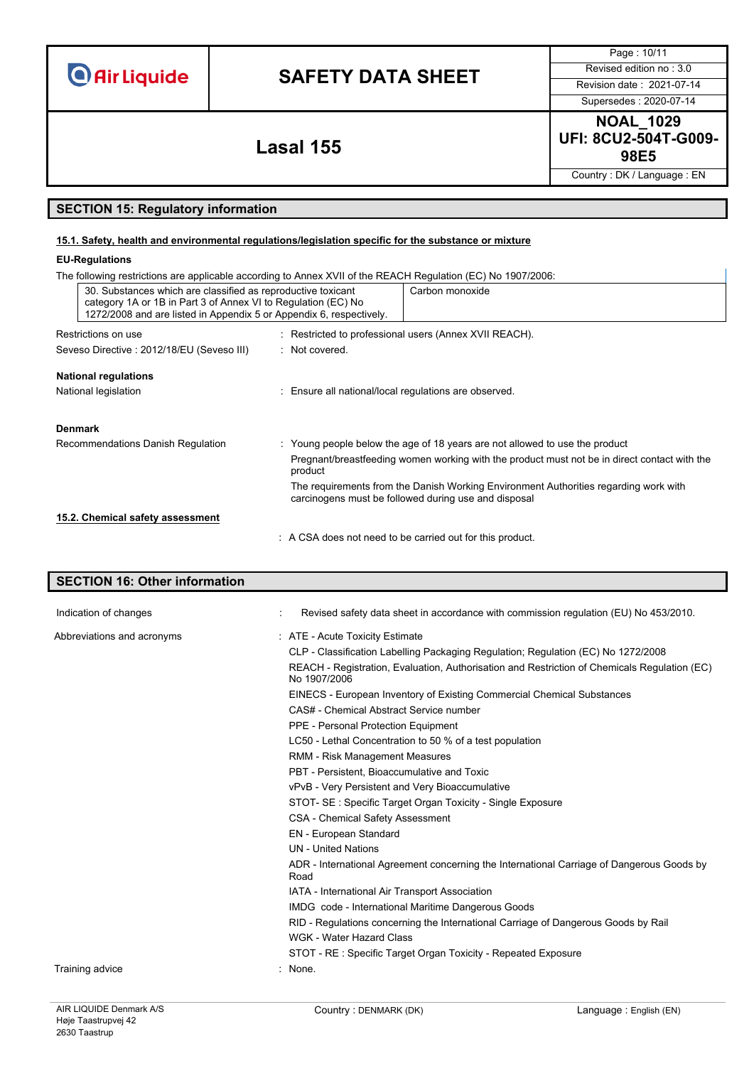| <b>O</b> Air Liquide |  |  |  |  |
|----------------------|--|--|--|--|
|                      |  |  |  |  |

Page : 10/11 Supersedes : 2020-07-14

**NOAL\_1029 UFI: 8CU2-504T-G009- 98E5 Lasal 155**

Country : DK / Language : EN

## **SECTION 15: Regulatory information**

### **15.1. Safety, health and environmental regulations/legislation specific for the substance or mixture**

### **EU-Regulations**

| The following restrictions are applicable according to Annex XVII of the REACH Regulation (EC) No 1907/2006:                                                                                         |                                                                                                                                              |                                                           |  |  |  |
|------------------------------------------------------------------------------------------------------------------------------------------------------------------------------------------------------|----------------------------------------------------------------------------------------------------------------------------------------------|-----------------------------------------------------------|--|--|--|
| 30. Substances which are classified as reproductive toxicant<br>category 1A or 1B in Part 3 of Annex VI to Regulation (EC) No<br>1272/2008 and are listed in Appendix 5 or Appendix 6, respectively. |                                                                                                                                              | Carbon monoxide                                           |  |  |  |
| Restrictions on use                                                                                                                                                                                  |                                                                                                                                              | : Restricted to professional users (Annex XVII REACH).    |  |  |  |
| Seveso Directive : 2012/18/EU (Seveso III)                                                                                                                                                           | : Not covered.                                                                                                                               |                                                           |  |  |  |
| <b>National regulations</b>                                                                                                                                                                          |                                                                                                                                              |                                                           |  |  |  |
| National legislation<br>: Ensure all national/local regulations are observed.                                                                                                                        |                                                                                                                                              |                                                           |  |  |  |
| <b>Denmark</b>                                                                                                                                                                                       |                                                                                                                                              |                                                           |  |  |  |
| Recommendations Danish Regulation                                                                                                                                                                    | : Young people below the age of 18 years are not allowed to use the product                                                                  |                                                           |  |  |  |
|                                                                                                                                                                                                      | Pregnant/breastfeeding women working with the product must not be in direct contact with the<br>product                                      |                                                           |  |  |  |
|                                                                                                                                                                                                      | The requirements from the Danish Working Environment Authorities regarding work with<br>carcinogens must be followed during use and disposal |                                                           |  |  |  |
| 15.2. Chemical safety assessment                                                                                                                                                                     |                                                                                                                                              |                                                           |  |  |  |
|                                                                                                                                                                                                      |                                                                                                                                              | : A CSA does not need to be carried out for this product. |  |  |  |

# **SECTION 16: Other information** Indication of changes **indication** of changes **in Accordance with commission regulation** (EU) No 453/2010. Abbreviations and acronyms : ATE - Acute Toxicity Estimate CLP - Classification Labelling Packaging Regulation; Regulation (EC) No 1272/2008 REACH - Registration, Evaluation, Authorisation and Restriction of Chemicals Regulation (EC) No 1907/2006 EINECS - European Inventory of Existing Commercial Chemical Substances CAS# - Chemical Abstract Service number PPE - Personal Protection Equipment LC50 - Lethal Concentration to 50 % of a test population RMM - Risk Management Measures PBT - Persistent, Bioaccumulative and Toxic vPvB - Very Persistent and Very Bioaccumulative STOT- SE : Specific Target Organ Toxicity - Single Exposure CSA - Chemical Safety Assessment EN - European Standard UN - United Nations ADR - International Agreement concerning the International Carriage of Dangerous Goods by Road IATA - International Air Transport Association IMDG code - International Maritime Dangerous Goods

Training advice : None.

WGK - Water Hazard Class

RID - Regulations concerning the International Carriage of Dangerous Goods by Rail

STOT - RE : Specific Target Organ Toxicity - Repeated Exposure